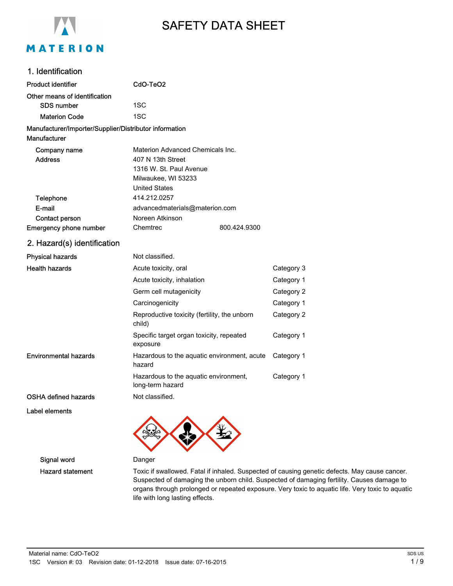

# SAFETY DATA SHEET

### 1. Identification

| <b>Product identifier</b>                                                     | CdO-TeO <sub>2</sub>                                      |              |            |
|-------------------------------------------------------------------------------|-----------------------------------------------------------|--------------|------------|
| Other means of identification                                                 |                                                           |              |            |
| <b>SDS number</b>                                                             | 1SC                                                       |              |            |
| <b>Materion Code</b>                                                          | 1SC                                                       |              |            |
|                                                                               |                                                           |              |            |
| Manufacturer/Importer/Supplier/Distributor information<br><b>Manufacturer</b> |                                                           |              |            |
| Company name                                                                  | Materion Advanced Chemicals Inc.                          |              |            |
| <b>Address</b>                                                                | 407 N 13th Street                                         |              |            |
|                                                                               | 1316 W. St. Paul Avenue                                   |              |            |
|                                                                               | Milwaukee, WI 53233                                       |              |            |
|                                                                               | <b>United States</b>                                      |              |            |
| <b>Telephone</b>                                                              | 414.212.0257                                              |              |            |
| E-mail                                                                        | advancedmaterials@materion.com                            |              |            |
| Contact person                                                                | Noreen Atkinson                                           |              |            |
| Emergency phone number                                                        | Chemtrec                                                  | 800.424.9300 |            |
| 2. Hazard(s) identification                                                   |                                                           |              |            |
| <b>Physical hazards</b>                                                       | Not classified.                                           |              |            |
| <b>Health hazards</b>                                                         | Acute toxicity, oral                                      |              | Category 3 |
|                                                                               | Acute toxicity, inhalation                                |              | Category 1 |
|                                                                               | Germ cell mutagenicity                                    |              | Category 2 |
|                                                                               | Carcinogenicity                                           |              | Category 1 |
|                                                                               | Reproductive toxicity (fertility, the unborn<br>child)    |              | Category 2 |
|                                                                               | Specific target organ toxicity, repeated<br>exposure      |              | Category 1 |
| <b>Environmental hazards</b>                                                  | Hazardous to the aquatic environment, acute<br>hazard     |              | Category 1 |
|                                                                               | Hazardous to the aquatic environment,<br>long-term hazard |              | Category 1 |
| <b>OSHA defined hazards</b>                                                   | Not classified.                                           |              |            |
| Label elements                                                                |                                                           |              |            |



Signal word Danger

Hazard statement Toxic if swallowed. Fatal if inhaled. Suspected of causing genetic defects. May cause cancer. Suspected of damaging the unborn child. Suspected of damaging fertility. Causes damage to organs through prolonged or repeated exposure. Very toxic to aquatic life. Very toxic to aquatic life with long lasting effects.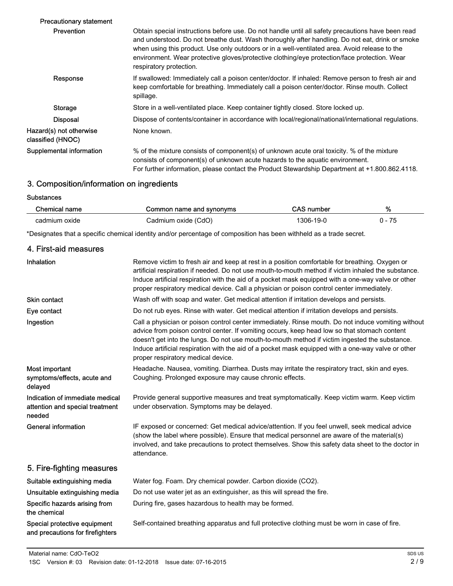| <b>Precautionary statement</b>               |                                                                                                                                                                                                                                                                                                                                                                                                                                  |
|----------------------------------------------|----------------------------------------------------------------------------------------------------------------------------------------------------------------------------------------------------------------------------------------------------------------------------------------------------------------------------------------------------------------------------------------------------------------------------------|
| <b>Prevention</b>                            | Obtain special instructions before use. Do not handle until all safety precautions have been read<br>and understood. Do not breathe dust. Wash thoroughly after handling. Do not eat, drink or smoke<br>when using this product. Use only outdoors or in a well-ventilated area. Avoid release to the<br>environment. Wear protective gloves/protective clothing/eye protection/face protection. Wear<br>respiratory protection. |
| Response                                     | If swallowed: Immediately call a poison center/doctor. If inhaled: Remove person to fresh air and<br>keep comfortable for breathing. Immediately call a poison center/doctor. Rinse mouth. Collect<br>spillage.                                                                                                                                                                                                                  |
| Storage                                      | Store in a well-ventilated place. Keep container tightly closed. Store locked up.                                                                                                                                                                                                                                                                                                                                                |
| <b>Disposal</b>                              | Dispose of contents/container in accordance with local/regional/national/international regulations.                                                                                                                                                                                                                                                                                                                              |
| Hazard(s) not otherwise<br>classified (HNOC) | None known.                                                                                                                                                                                                                                                                                                                                                                                                                      |
| Supplemental information                     | % of the mixture consists of component(s) of unknown acute oral toxicity. % of the mixture<br>consists of component(s) of unknown acute hazards to the aquatic environment.<br>For further information, please contact the Product Stewardship Department at +1.800.862.4118.                                                                                                                                                    |
|                                              |                                                                                                                                                                                                                                                                                                                                                                                                                                  |

## 3. Composition/information on ingredients

**Substances** 

| Chemical name | Common name and synonyms | <b>CAS number</b> | % |
|---------------|--------------------------|-------------------|---|
| cadmium oxide | Cadmium oxide (CdO)      | 306-19-0          |   |

\*Designates that a specific chemical identity and/or percentage of composition has been withheld as a trade secret.

| 4. First-aid measures                                                        |                                                                                                                                                                                                                                                                                                                                                                                                                                                  |
|------------------------------------------------------------------------------|--------------------------------------------------------------------------------------------------------------------------------------------------------------------------------------------------------------------------------------------------------------------------------------------------------------------------------------------------------------------------------------------------------------------------------------------------|
| Inhalation                                                                   | Remove victim to fresh air and keep at rest in a position comfortable for breathing. Oxygen or<br>artificial respiration if needed. Do not use mouth-to-mouth method if victim inhaled the substance.<br>Induce artificial respiration with the aid of a pocket mask equipped with a one-way valve or other<br>proper respiratory medical device. Call a physician or poison control center immediately.                                         |
| <b>Skin contact</b>                                                          | Wash off with soap and water. Get medical attention if irritation develops and persists.                                                                                                                                                                                                                                                                                                                                                         |
| Eye contact                                                                  | Do not rub eyes. Rinse with water. Get medical attention if irritation develops and persists.                                                                                                                                                                                                                                                                                                                                                    |
| Ingestion                                                                    | Call a physician or poison control center immediately. Rinse mouth. Do not induce vomiting without<br>advice from poison control center. If vomiting occurs, keep head low so that stomach content<br>doesn't get into the lungs. Do not use mouth-to-mouth method if victim ingested the substance.<br>Induce artificial respiration with the aid of a pocket mask equipped with a one-way valve or other<br>proper respiratory medical device. |
| Most important<br>symptoms/effects, acute and<br>delayed                     | Headache. Nausea, vomiting. Diarrhea. Dusts may irritate the respiratory tract, skin and eyes.<br>Coughing. Prolonged exposure may cause chronic effects.                                                                                                                                                                                                                                                                                        |
| Indication of immediate medical<br>attention and special treatment<br>needed | Provide general supportive measures and treat symptomatically. Keep victim warm. Keep victim<br>under observation. Symptoms may be delayed.                                                                                                                                                                                                                                                                                                      |
| <b>General information</b>                                                   | IF exposed or concerned: Get medical advice/attention. If you feel unwell, seek medical advice<br>(show the label where possible). Ensure that medical personnel are aware of the material(s)<br>involved, and take precautions to protect themselves. Show this safety data sheet to the doctor in<br>attendance.                                                                                                                               |
| 5. Fire-fighting measures                                                    |                                                                                                                                                                                                                                                                                                                                                                                                                                                  |
| Suitable extinguishing media                                                 | Water fog. Foam. Dry chemical powder. Carbon dioxide (CO2).                                                                                                                                                                                                                                                                                                                                                                                      |
| Unsuitable extinguishing media                                               | Do not use water jet as an extinguisher, as this will spread the fire.                                                                                                                                                                                                                                                                                                                                                                           |
| Specific hazards arising from<br>the chemical                                | During fire, gases hazardous to health may be formed.                                                                                                                                                                                                                                                                                                                                                                                            |
| Special protective equipment<br>and precautions for firefighters             | Self-contained breathing apparatus and full protective clothing must be worn in case of fire.                                                                                                                                                                                                                                                                                                                                                    |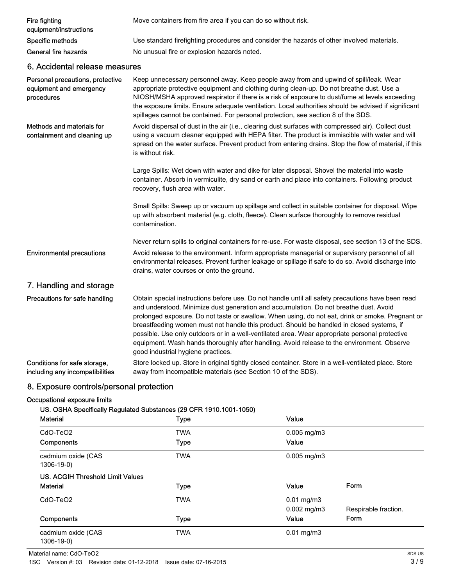| <b>Fire fighting</b><br>equipment/instructions                            | Move containers from fire area if you can do so without risk.                                                                                                                                                                                                                                                                                                                                                                                                                                                                                                                                                                     |
|---------------------------------------------------------------------------|-----------------------------------------------------------------------------------------------------------------------------------------------------------------------------------------------------------------------------------------------------------------------------------------------------------------------------------------------------------------------------------------------------------------------------------------------------------------------------------------------------------------------------------------------------------------------------------------------------------------------------------|
| Specific methods                                                          | Use standard firefighting procedures and consider the hazards of other involved materials.                                                                                                                                                                                                                                                                                                                                                                                                                                                                                                                                        |
| General fire hazards                                                      | No unusual fire or explosion hazards noted.                                                                                                                                                                                                                                                                                                                                                                                                                                                                                                                                                                                       |
| 6. Accidental release measures                                            |                                                                                                                                                                                                                                                                                                                                                                                                                                                                                                                                                                                                                                   |
| Personal precautions, protective<br>equipment and emergency<br>procedures | Keep unnecessary personnel away. Keep people away from and upwind of spill/leak. Wear<br>appropriate protective equipment and clothing during clean-up. Do not breathe dust. Use a<br>NIOSH/MSHA approved respirator if there is a risk of exposure to dust/fume at levels exceeding<br>the exposure limits. Ensure adequate ventilation. Local authorities should be advised if significant<br>spillages cannot be contained. For personal protection, see section 8 of the SDS.                                                                                                                                                 |
| Methods and materials for<br>containment and cleaning up                  | Avoid dispersal of dust in the air (i.e., clearing dust surfaces with compressed air). Collect dust<br>using a vacuum cleaner equipped with HEPA filter. The product is immiscible with water and will<br>spread on the water surface. Prevent product from entering drains. Stop the flow of material, if this<br>is without risk.                                                                                                                                                                                                                                                                                               |
|                                                                           | Large Spills: Wet down with water and dike for later disposal. Shovel the material into waste<br>container. Absorb in vermiculite, dry sand or earth and place into containers. Following product<br>recovery, flush area with water.                                                                                                                                                                                                                                                                                                                                                                                             |
|                                                                           | Small Spills: Sweep up or vacuum up spillage and collect in suitable container for disposal. Wipe<br>up with absorbent material (e.g. cloth, fleece). Clean surface thoroughly to remove residual<br>contamination.                                                                                                                                                                                                                                                                                                                                                                                                               |
|                                                                           | Never return spills to original containers for re-use. For waste disposal, see section 13 of the SDS.                                                                                                                                                                                                                                                                                                                                                                                                                                                                                                                             |
| <b>Environmental precautions</b>                                          | Avoid release to the environment. Inform appropriate managerial or supervisory personnel of all<br>environmental releases. Prevent further leakage or spillage if safe to do so. Avoid discharge into<br>drains, water courses or onto the ground.                                                                                                                                                                                                                                                                                                                                                                                |
| 7. Handling and storage                                                   |                                                                                                                                                                                                                                                                                                                                                                                                                                                                                                                                                                                                                                   |
| Precautions for safe handling                                             | Obtain special instructions before use. Do not handle until all safety precautions have been read<br>and understood. Minimize dust generation and accumulation. Do not breathe dust. Avoid<br>prolonged exposure. Do not taste or swallow. When using, do not eat, drink or smoke. Pregnant or<br>breastfeeding women must not handle this product. Should be handled in closed systems, if<br>possible. Use only outdoors or in a well-ventilated area. Wear appropriate personal protective<br>equipment. Wash hands thoroughly after handling. Avoid release to the environment. Observe<br>good industrial hygiene practices. |
| Conditions for safe storage,<br>including any incompatibilities           | Store locked up. Store in original tightly closed container. Store in a well-ventilated place. Store<br>away from incompatible materials (see Section 10 of the SDS).                                                                                                                                                                                                                                                                                                                                                                                                                                                             |

### 8. Exposure controls/personal protection

### Occupational exposure limits

### US. OSHA Specifically Regulated Substances (29 CFR 1910.1001-1050)

| <b>Material</b>                  | <b>Type</b> | Value                   |                      |
|----------------------------------|-------------|-------------------------|----------------------|
| CdO-TeO <sub>2</sub>             | <b>TWA</b>  | $0.005$ mg/m $3$        |                      |
| <b>Components</b>                | <b>Type</b> | Value                   |                      |
| cadmium oxide (CAS<br>1306-19-0) | <b>TWA</b>  | $0.005$ mg/m3           |                      |
| US. ACGIH Threshold Limit Values |             |                         |                      |
| <b>Material</b>                  | <b>Type</b> | Value                   | Form                 |
| CdO-TeO <sub>2</sub>             | <b>TWA</b>  | $0.01 \,\mathrm{mg/m3}$ |                      |
|                                  |             | $0.002 \text{ mg/m}$ 3  | Respirable fraction. |
| <b>Components</b>                | <b>Type</b> | Value                   | Form                 |
| cadmium oxide (CAS               | <b>TWA</b>  | $0.01$ mg/m $3$         |                      |
| 1306-19-0)                       |             |                         |                      |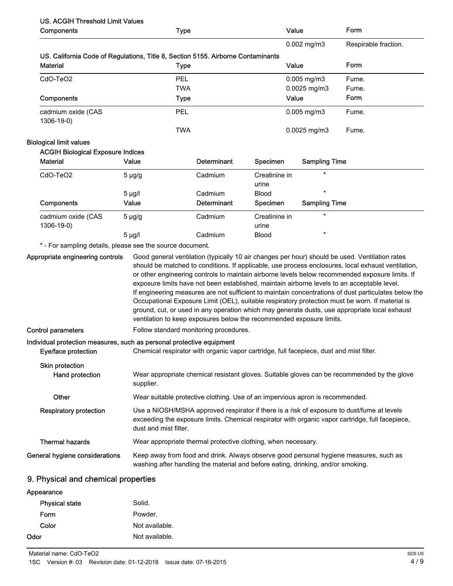## US. ACGIH Threshold Limit Values

| Components                                                                                   |                       | <b>Type</b>                                                                             |                        | Value                | Form                                                                                                                                                                                                                                                                                                                                                                                                                                                                                                                                                                                                                                                                                                               |
|----------------------------------------------------------------------------------------------|-----------------------|-----------------------------------------------------------------------------------------|------------------------|----------------------|--------------------------------------------------------------------------------------------------------------------------------------------------------------------------------------------------------------------------------------------------------------------------------------------------------------------------------------------------------------------------------------------------------------------------------------------------------------------------------------------------------------------------------------------------------------------------------------------------------------------------------------------------------------------------------------------------------------------|
|                                                                                              |                       |                                                                                         |                        | 0.002 mg/m3          | Respirable fraction.                                                                                                                                                                                                                                                                                                                                                                                                                                                                                                                                                                                                                                                                                               |
| US. California Code of Regulations, Title 8, Section 5155. Airborne Contaminants             |                       |                                                                                         |                        |                      |                                                                                                                                                                                                                                                                                                                                                                                                                                                                                                                                                                                                                                                                                                                    |
| <b>Material</b>                                                                              |                       | <b>Type</b>                                                                             |                        | Value                | Form                                                                                                                                                                                                                                                                                                                                                                                                                                                                                                                                                                                                                                                                                                               |
| CdO-TeO2                                                                                     |                       | <b>PEL</b>                                                                              |                        | 0.005 mg/m3          | Fume.                                                                                                                                                                                                                                                                                                                                                                                                                                                                                                                                                                                                                                                                                                              |
|                                                                                              |                       | <b>TWA</b>                                                                              |                        | 0.0025 mg/m3         | Fume.                                                                                                                                                                                                                                                                                                                                                                                                                                                                                                                                                                                                                                                                                                              |
| Components                                                                                   |                       | <b>Type</b>                                                                             |                        | Value                | Form                                                                                                                                                                                                                                                                                                                                                                                                                                                                                                                                                                                                                                                                                                               |
| cadmium oxide (CAS<br>1306-19-0)                                                             |                       | <b>PEL</b>                                                                              |                        | $0.005$ mg/m $3$     | Fume.                                                                                                                                                                                                                                                                                                                                                                                                                                                                                                                                                                                                                                                                                                              |
|                                                                                              |                       | <b>TWA</b>                                                                              |                        | $0.0025$ mg/m3       | Fume.                                                                                                                                                                                                                                                                                                                                                                                                                                                                                                                                                                                                                                                                                                              |
| <b>Biological limit values</b>                                                               |                       |                                                                                         |                        |                      |                                                                                                                                                                                                                                                                                                                                                                                                                                                                                                                                                                                                                                                                                                                    |
| <b>ACGIH Biological Exposure Indices</b>                                                     |                       |                                                                                         |                        |                      |                                                                                                                                                                                                                                                                                                                                                                                                                                                                                                                                                                                                                                                                                                                    |
| <b>Material</b>                                                                              | Value                 | <b>Determinant</b>                                                                      | Specimen               | <b>Sampling Time</b> |                                                                                                                                                                                                                                                                                                                                                                                                                                                                                                                                                                                                                                                                                                                    |
| CdO-TeO2                                                                                     | $5 \mu g/g$           | Cadmium                                                                                 | Creatinine in<br>urine |                      |                                                                                                                                                                                                                                                                                                                                                                                                                                                                                                                                                                                                                                                                                                                    |
|                                                                                              | $5 \mu g/l$           | Cadmium                                                                                 | <b>Blood</b>           | $\star$              |                                                                                                                                                                                                                                                                                                                                                                                                                                                                                                                                                                                                                                                                                                                    |
| Components                                                                                   | Value                 | Determinant                                                                             | Specimen               | <b>Sampling Time</b> |                                                                                                                                                                                                                                                                                                                                                                                                                                                                                                                                                                                                                                                                                                                    |
| cadmium oxide (CAS<br>1306-19-0)                                                             | $5 \mu g/g$           | Cadmium                                                                                 | Creatinine in<br>urine | $\star$              |                                                                                                                                                                                                                                                                                                                                                                                                                                                                                                                                                                                                                                                                                                                    |
|                                                                                              | $5 \mu g/l$           | Cadmium                                                                                 | <b>Blood</b>           | $\star$              |                                                                                                                                                                                                                                                                                                                                                                                                                                                                                                                                                                                                                                                                                                                    |
| * - For sampling details, please see the source document.                                    |                       |                                                                                         |                        |                      |                                                                                                                                                                                                                                                                                                                                                                                                                                                                                                                                                                                                                                                                                                                    |
| Appropriate engineering controls                                                             |                       | ventilation to keep exposures below the recommended exposure limits.                    |                        |                      | Good general ventilation (typically 10 air changes per hour) should be used. Ventilation rates<br>should be matched to conditions. If applicable, use process enclosures, local exhaust ventilation,<br>or other engineering controls to maintain airborne levels below recommended exposure limits. If<br>exposure limits have not been established, maintain airborne levels to an acceptable level.<br>If engineering measures are not sufficient to maintain concentrations of dust particulates below the<br>Occupational Exposure Limit (OEL), suitable respiratory protection must be worn. If material is<br>ground, cut, or used in any operation which may generate dusts, use appropriate local exhaust |
| <b>Control parameters</b>                                                                    |                       | Follow standard monitoring procedures.                                                  |                        |                      |                                                                                                                                                                                                                                                                                                                                                                                                                                                                                                                                                                                                                                                                                                                    |
| Individual protection measures, such as personal protective equipment<br>Eye/face protection |                       | Chemical respirator with organic vapor cartridge, full facepiece, dust and mist filter. |                        |                      |                                                                                                                                                                                                                                                                                                                                                                                                                                                                                                                                                                                                                                                                                                                    |
| Skin protection<br>Hand protection                                                           | supplier.             |                                                                                         |                        |                      | Wear appropriate chemical resistant gloves. Suitable gloves can be recommended by the glove                                                                                                                                                                                                                                                                                                                                                                                                                                                                                                                                                                                                                        |
| Other                                                                                        |                       | Wear suitable protective clothing. Use of an impervious apron is recommended.           |                        |                      |                                                                                                                                                                                                                                                                                                                                                                                                                                                                                                                                                                                                                                                                                                                    |
| <b>Respiratory protection</b>                                                                | dust and mist filter. |                                                                                         |                        |                      | Use a NIOSH/MSHA approved respirator if there is a risk of exposure to dust/fume at levels<br>exceeding the exposure limits. Chemical respirator with organic vapor cartridge, full facepiece,                                                                                                                                                                                                                                                                                                                                                                                                                                                                                                                     |
| <b>Thermal hazards</b>                                                                       |                       | Wear appropriate thermal protective clothing, when necessary.                           |                        |                      |                                                                                                                                                                                                                                                                                                                                                                                                                                                                                                                                                                                                                                                                                                                    |
| General hygiene considerations                                                               |                       | washing after handling the material and before eating, drinking, and/or smoking.        |                        |                      | Keep away from food and drink. Always observe good personal hygiene measures, such as                                                                                                                                                                                                                                                                                                                                                                                                                                                                                                                                                                                                                              |
| 9. Physical and chemical properties                                                          |                       |                                                                                         |                        |                      |                                                                                                                                                                                                                                                                                                                                                                                                                                                                                                                                                                                                                                                                                                                    |

| Appearance            |                |
|-----------------------|----------------|
| <b>Physical state</b> | Solid.         |
| Form                  | Powder.        |
| Color                 | Not available. |
| Odor                  | Not available. |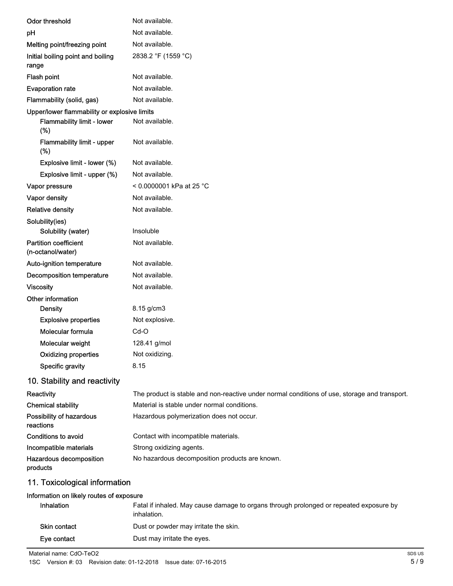|                                                   | Not available.                                                                                |
|---------------------------------------------------|-----------------------------------------------------------------------------------------------|
| Odor threshold                                    |                                                                                               |
| pH                                                | Not available.                                                                                |
| Melting point/freezing point                      | Not available.                                                                                |
| Initial boiling point and boiling<br>range        | 2838.2 °F (1559 °C)                                                                           |
| Flash point                                       | Not available.                                                                                |
| <b>Evaporation rate</b>                           | Not available.                                                                                |
| Flammability (solid, gas)                         | Not available.                                                                                |
| Upper/lower flammability or explosive limits      |                                                                                               |
| Flammability limit - lower<br>(%)                 | Not available.                                                                                |
| Flammability limit - upper<br>(%)                 | Not available.                                                                                |
| Explosive limit - lower (%)                       | Not available.                                                                                |
| Explosive limit - upper (%)                       | Not available.                                                                                |
| Vapor pressure                                    | < 0.0000001 kPa at 25 °C                                                                      |
| Vapor density                                     | Not available.                                                                                |
| <b>Relative density</b>                           | Not available.                                                                                |
| Solubility(ies)                                   |                                                                                               |
| Solubility (water)                                | Insoluble                                                                                     |
| <b>Partition coefficient</b><br>(n-octanol/water) | Not available.                                                                                |
| Auto-ignition temperature                         | Not available.                                                                                |
| Decomposition temperature                         | Not available.                                                                                |
| <b>Viscosity</b>                                  | Not available.                                                                                |
| Other information                                 |                                                                                               |
| <b>Density</b>                                    | 8.15 g/cm3                                                                                    |
| <b>Explosive properties</b>                       | Not explosive.                                                                                |
| Molecular formula                                 | $Cd-O$                                                                                        |
| Molecular weight                                  | 128.41 g/mol                                                                                  |
| <b>Oxidizing properties</b>                       | Not oxidizing.                                                                                |
| Specific gravity                                  | 8.15                                                                                          |
| 10. Stability and reactivity                      |                                                                                               |
| Reactivity                                        | The product is stable and non-reactive under normal conditions of use, storage and transport. |
| <b>Chemical stability</b>                         | Material is stable under normal conditions.                                                   |
| Possibility of hazardous<br>reactions             | Hazardous polymerization does not occur.                                                      |
| <b>Conditions to avoid</b>                        | Contact with incompatible materials.                                                          |
| Incompatible materials                            | Strong oxidizing agents.                                                                      |
| Hazardous decomposition<br>products               | No hazardous decomposition products are known.                                                |
| 11. Toxicological information                     |                                                                                               |
|                                                   |                                                                                               |

#### Information on likely routes of exposure

| <b>Inhalation</b> | Fatal if inhaled. May cause damage to organs through prolonged or repeated exposure by<br>inhalation. |
|-------------------|-------------------------------------------------------------------------------------------------------|
| Skin contact      | Dust or powder may irritate the skin.                                                                 |
| Eve contact       | Dust may irritate the eyes.                                                                           |

Material name: CdO-TeO2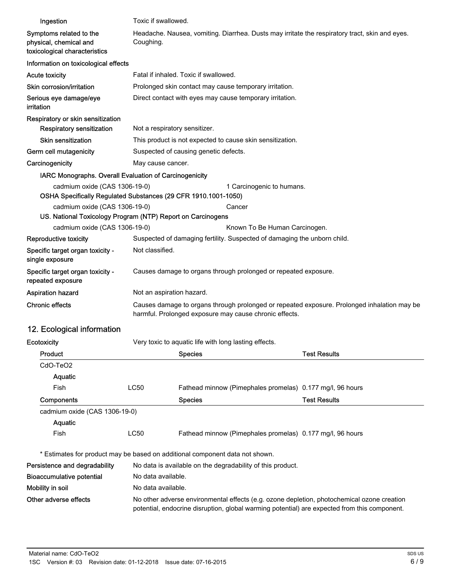| Ingestion                                                                                       | Toxic if swallowed.                                                                                                                                                                        |                                                       |                                                                          |                     |
|-------------------------------------------------------------------------------------------------|--------------------------------------------------------------------------------------------------------------------------------------------------------------------------------------------|-------------------------------------------------------|--------------------------------------------------------------------------|---------------------|
| Symptoms related to the<br>physical, chemical and<br>toxicological characteristics              | Headache. Nausea, vomiting. Diarrhea. Dusts may irritate the respiratory tract, skin and eyes.<br>Coughing.                                                                                |                                                       |                                                                          |                     |
| Information on toxicological effects                                                            |                                                                                                                                                                                            |                                                       |                                                                          |                     |
| <b>Acute toxicity</b>                                                                           |                                                                                                                                                                                            | Fatal if inhaled. Toxic if swallowed.                 |                                                                          |                     |
| Skin corrosion/irritation                                                                       |                                                                                                                                                                                            |                                                       | Prolonged skin contact may cause temporary irritation.                   |                     |
| Serious eye damage/eye<br>irritation                                                            |                                                                                                                                                                                            |                                                       | Direct contact with eyes may cause temporary irritation.                 |                     |
| Respiratory or skin sensitization<br><b>Respiratory sensitization</b>                           | Not a respiratory sensitizer.                                                                                                                                                              |                                                       |                                                                          |                     |
| <b>Skin sensitization</b>                                                                       |                                                                                                                                                                                            |                                                       | This product is not expected to cause skin sensitization.                |                     |
| Germ cell mutagenicity                                                                          |                                                                                                                                                                                            | Suspected of causing genetic defects.                 |                                                                          |                     |
| Carcinogenicity                                                                                 | May cause cancer.                                                                                                                                                                          |                                                       |                                                                          |                     |
| IARC Monographs. Overall Evaluation of Carcinogenicity                                          |                                                                                                                                                                                            |                                                       |                                                                          |                     |
| cadmium oxide (CAS 1306-19-0)<br>OSHA Specifically Regulated Substances (29 CFR 1910.1001-1050) |                                                                                                                                                                                            |                                                       | 1 Carcinogenic to humans.                                                |                     |
| cadmium oxide (CAS 1306-19-0)                                                                   |                                                                                                                                                                                            |                                                       | Cancer                                                                   |                     |
| US. National Toxicology Program (NTP) Report on Carcinogens                                     |                                                                                                                                                                                            |                                                       |                                                                          |                     |
| cadmium oxide (CAS 1306-19-0)                                                                   |                                                                                                                                                                                            |                                                       | Known To Be Human Carcinogen.                                            |                     |
| Reproductive toxicity                                                                           |                                                                                                                                                                                            |                                                       | Suspected of damaging fertility. Suspected of damaging the unborn child. |                     |
| Specific target organ toxicity -<br>single exposure                                             | Not classified.                                                                                                                                                                            |                                                       |                                                                          |                     |
| Specific target organ toxicity -<br>repeated exposure                                           |                                                                                                                                                                                            |                                                       | Causes damage to organs through prolonged or repeated exposure.          |                     |
| <b>Aspiration hazard</b>                                                                        | Not an aspiration hazard.                                                                                                                                                                  |                                                       |                                                                          |                     |
| <b>Chronic effects</b>                                                                          | Causes damage to organs through prolonged or repeated exposure. Prolonged inhalation may be<br>harmful. Prolonged exposure may cause chronic effects.                                      |                                                       |                                                                          |                     |
| 12. Ecological information                                                                      |                                                                                                                                                                                            |                                                       |                                                                          |                     |
| Ecotoxicity                                                                                     |                                                                                                                                                                                            | Very toxic to aquatic life with long lasting effects. |                                                                          |                     |
| Product                                                                                         |                                                                                                                                                                                            | <b>Species</b>                                        |                                                                          | <b>Test Results</b> |
| CdO-TeO2                                                                                        |                                                                                                                                                                                            |                                                       |                                                                          |                     |
| Aquatic                                                                                         |                                                                                                                                                                                            |                                                       |                                                                          |                     |
| Fish                                                                                            | <b>LC50</b>                                                                                                                                                                                |                                                       | Fathead minnow (Pimephales promelas) 0.177 mg/l, 96 hours                |                     |
| Components                                                                                      |                                                                                                                                                                                            | <b>Species</b>                                        |                                                                          | <b>Test Results</b> |
| cadmium oxide (CAS 1306-19-0)                                                                   |                                                                                                                                                                                            |                                                       |                                                                          |                     |
| Aquatic                                                                                         |                                                                                                                                                                                            |                                                       |                                                                          |                     |
| Fish                                                                                            | LC50                                                                                                                                                                                       |                                                       | Fathead minnow (Pimephales promelas) 0.177 mg/l, 96 hours                |                     |
| * Estimates for product may be based on additional component data not shown.                    |                                                                                                                                                                                            |                                                       |                                                                          |                     |
| Persistence and degradability                                                                   |                                                                                                                                                                                            |                                                       | No data is available on the degradability of this product.               |                     |
| <b>Bioaccumulative potential</b>                                                                | No data available.                                                                                                                                                                         |                                                       |                                                                          |                     |
| Mobility in soil                                                                                | No data available.                                                                                                                                                                         |                                                       |                                                                          |                     |
| Other adverse effects                                                                           | No other adverse environmental effects (e.g. ozone depletion, photochemical ozone creation<br>potential, endocrine disruption, global warming potential) are expected from this component. |                                                       |                                                                          |                     |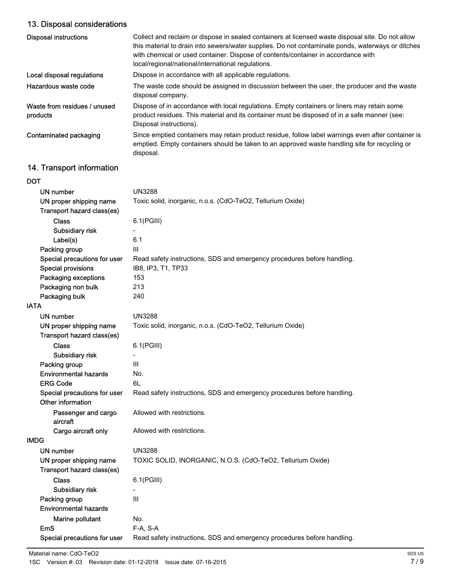## 13. Disposal considerations

| <b>Disposal instructions</b>             | Collect and reclaim or dispose in sealed containers at licensed waste disposal site. Do not allow<br>this material to drain into sewers/water supplies. Do not contaminate ponds, waterways or ditches<br>with chemical or used container. Dispose of contents/container in accordance with<br>local/regional/national/international regulations. |
|------------------------------------------|---------------------------------------------------------------------------------------------------------------------------------------------------------------------------------------------------------------------------------------------------------------------------------------------------------------------------------------------------|
| Local disposal regulations               | Dispose in accordance with all applicable regulations.                                                                                                                                                                                                                                                                                            |
| Hazardous waste code                     | The waste code should be assigned in discussion between the user, the producer and the waste<br>disposal company.                                                                                                                                                                                                                                 |
| Waste from residues / unused<br>products | Dispose of in accordance with local regulations. Empty containers or liners may retain some<br>product residues. This material and its container must be disposed of in a safe manner (see:<br>Disposal instructions).                                                                                                                            |
| Contaminated packaging                   | Since emptied containers may retain product residue, follow label warnings even after container is<br>emptied. Empty containers should be taken to an approved waste handling site for recycling or<br>disposal.                                                                                                                                  |

## 14. Transport information

| DOT                             |                                                                         |
|---------------------------------|-------------------------------------------------------------------------|
| <b>UN number</b>                | <b>UN3288</b>                                                           |
| UN proper shipping name         | Toxic solid, inorganic, n.o.s. (CdO-TeO2, Tellurium Oxide)              |
| Transport hazard class(es)      |                                                                         |
| <b>Class</b>                    | $6.1$ (PGIII)                                                           |
| Subsidiary risk                 |                                                                         |
| Label(s)                        | 6.1                                                                     |
| Packing group                   | III                                                                     |
| Special precautions for user    | Read safety instructions, SDS and emergency procedures before handling. |
| <b>Special provisions</b>       | IB8, IP3, T1, TP33                                                      |
| Packaging exceptions            | 153                                                                     |
| Packaging non bulk              | 213                                                                     |
| Packaging bulk                  | 240                                                                     |
| <b>IATA</b>                     |                                                                         |
| UN number                       | <b>UN3288</b>                                                           |
| UN proper shipping name         | Toxic solid, inorganic, n.o.s. (CdO-TeO2, Tellurium Oxide)              |
| Transport hazard class(es)      |                                                                         |
| <b>Class</b>                    | $6.1$ (PGIII)                                                           |
| Subsidiary risk                 |                                                                         |
| Packing group                   | III                                                                     |
| <b>Environmental hazards</b>    | No.                                                                     |
| <b>ERG Code</b>                 | 6L                                                                      |
| Special precautions for user    | Read safety instructions, SDS and emergency procedures before handling. |
| Other information               |                                                                         |
| Passenger and cargo<br>aircraft | Allowed with restrictions.                                              |
| Cargo aircraft only             | Allowed with restrictions.                                              |
| <b>IMDG</b>                     |                                                                         |
| UN number                       | <b>UN3288</b>                                                           |
| UN proper shipping name         | TOXIC SOLID, INORGANIC, N.O.S. (CdO-TeO2, Tellurium Oxide)              |
| Transport hazard class(es)      |                                                                         |
| <b>Class</b>                    | 6.1(PGIII)                                                              |
| Subsidiary risk                 |                                                                         |
| Packing group                   | III                                                                     |
| <b>Environmental hazards</b>    |                                                                         |
| Marine pollutant                | No.                                                                     |
| <b>EmS</b>                      | F-A, S-A                                                                |
| Special precautions for user    | Read safety instructions, SDS and emergency procedures before handling. |
|                                 |                                                                         |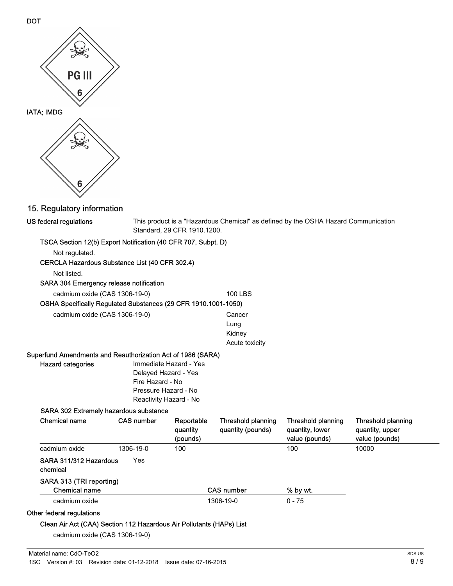

DOT

## 15. Regulatory information

| TSCA Section 12(b) Export Notification (40 CFR 707, Subpt. D)<br>Not regulated.<br>CERCLA Hazardous Substance List (40 CFR 302.4)<br>Not listed.<br><b>SARA 304 Emergency release notification</b><br><b>100 LBS</b><br>cadmium oxide (CAS 1306-19-0)<br>OSHA Specifically Regulated Substances (29 CFR 1910.1001-1050)<br>cadmium oxide (CAS 1306-19-0)<br>Cancer<br>Lung<br>Kidney<br>Acute toxicity<br>Superfund Amendments and Reauthorization Act of 1986 (SARA)<br>Immediate Hazard - Yes<br><b>Hazard categories</b><br>Delayed Hazard - Yes<br>Fire Hazard - No<br>Pressure Hazard - No<br>Reactivity Hazard - No<br>SARA 302 Extremely hazardous substance<br><b>Chemical name</b><br><b>CAS number</b><br>Reportable<br>Threshold planning<br>Threshold planning<br><b>Threshold planning</b><br>quantity<br>quantity (pounds)<br>quantity, lower<br>quantity, upper<br>value (pounds)<br>value (pounds)<br>(pounds)<br>1306-19-0<br>100<br>10000<br>cadmium oxide<br>100<br>SARA 311/312 Hazardous<br>Yes<br>chemical<br>SARA 313 (TRI reporting)<br><b>Chemical name</b><br><b>CAS number</b><br>% by wt.<br>1306-19-0<br>$0 - 75$<br>cadmium oxide<br>Clean Air Act (CAA) Section 112 Hazardous Air Pollutants (HAPs) List | US federal regulations    |  | This product is a "Hazardous Chemical" as defined by the OSHA Hazard Communication<br>Standard, 29 CFR 1910.1200. |  |  |  |  |
|-----------------------------------------------------------------------------------------------------------------------------------------------------------------------------------------------------------------------------------------------------------------------------------------------------------------------------------------------------------------------------------------------------------------------------------------------------------------------------------------------------------------------------------------------------------------------------------------------------------------------------------------------------------------------------------------------------------------------------------------------------------------------------------------------------------------------------------------------------------------------------------------------------------------------------------------------------------------------------------------------------------------------------------------------------------------------------------------------------------------------------------------------------------------------------------------------------------------------------------------|---------------------------|--|-------------------------------------------------------------------------------------------------------------------|--|--|--|--|
|                                                                                                                                                                                                                                                                                                                                                                                                                                                                                                                                                                                                                                                                                                                                                                                                                                                                                                                                                                                                                                                                                                                                                                                                                                         |                           |  |                                                                                                                   |  |  |  |  |
|                                                                                                                                                                                                                                                                                                                                                                                                                                                                                                                                                                                                                                                                                                                                                                                                                                                                                                                                                                                                                                                                                                                                                                                                                                         |                           |  |                                                                                                                   |  |  |  |  |
|                                                                                                                                                                                                                                                                                                                                                                                                                                                                                                                                                                                                                                                                                                                                                                                                                                                                                                                                                                                                                                                                                                                                                                                                                                         |                           |  |                                                                                                                   |  |  |  |  |
|                                                                                                                                                                                                                                                                                                                                                                                                                                                                                                                                                                                                                                                                                                                                                                                                                                                                                                                                                                                                                                                                                                                                                                                                                                         |                           |  |                                                                                                                   |  |  |  |  |
|                                                                                                                                                                                                                                                                                                                                                                                                                                                                                                                                                                                                                                                                                                                                                                                                                                                                                                                                                                                                                                                                                                                                                                                                                                         |                           |  |                                                                                                                   |  |  |  |  |
|                                                                                                                                                                                                                                                                                                                                                                                                                                                                                                                                                                                                                                                                                                                                                                                                                                                                                                                                                                                                                                                                                                                                                                                                                                         |                           |  |                                                                                                                   |  |  |  |  |
|                                                                                                                                                                                                                                                                                                                                                                                                                                                                                                                                                                                                                                                                                                                                                                                                                                                                                                                                                                                                                                                                                                                                                                                                                                         |                           |  |                                                                                                                   |  |  |  |  |
|                                                                                                                                                                                                                                                                                                                                                                                                                                                                                                                                                                                                                                                                                                                                                                                                                                                                                                                                                                                                                                                                                                                                                                                                                                         |                           |  |                                                                                                                   |  |  |  |  |
|                                                                                                                                                                                                                                                                                                                                                                                                                                                                                                                                                                                                                                                                                                                                                                                                                                                                                                                                                                                                                                                                                                                                                                                                                                         |                           |  |                                                                                                                   |  |  |  |  |
|                                                                                                                                                                                                                                                                                                                                                                                                                                                                                                                                                                                                                                                                                                                                                                                                                                                                                                                                                                                                                                                                                                                                                                                                                                         |                           |  |                                                                                                                   |  |  |  |  |
|                                                                                                                                                                                                                                                                                                                                                                                                                                                                                                                                                                                                                                                                                                                                                                                                                                                                                                                                                                                                                                                                                                                                                                                                                                         |                           |  |                                                                                                                   |  |  |  |  |
|                                                                                                                                                                                                                                                                                                                                                                                                                                                                                                                                                                                                                                                                                                                                                                                                                                                                                                                                                                                                                                                                                                                                                                                                                                         |                           |  |                                                                                                                   |  |  |  |  |
|                                                                                                                                                                                                                                                                                                                                                                                                                                                                                                                                                                                                                                                                                                                                                                                                                                                                                                                                                                                                                                                                                                                                                                                                                                         |                           |  |                                                                                                                   |  |  |  |  |
|                                                                                                                                                                                                                                                                                                                                                                                                                                                                                                                                                                                                                                                                                                                                                                                                                                                                                                                                                                                                                                                                                                                                                                                                                                         |                           |  |                                                                                                                   |  |  |  |  |
|                                                                                                                                                                                                                                                                                                                                                                                                                                                                                                                                                                                                                                                                                                                                                                                                                                                                                                                                                                                                                                                                                                                                                                                                                                         |                           |  |                                                                                                                   |  |  |  |  |
|                                                                                                                                                                                                                                                                                                                                                                                                                                                                                                                                                                                                                                                                                                                                                                                                                                                                                                                                                                                                                                                                                                                                                                                                                                         |                           |  |                                                                                                                   |  |  |  |  |
|                                                                                                                                                                                                                                                                                                                                                                                                                                                                                                                                                                                                                                                                                                                                                                                                                                                                                                                                                                                                                                                                                                                                                                                                                                         |                           |  |                                                                                                                   |  |  |  |  |
|                                                                                                                                                                                                                                                                                                                                                                                                                                                                                                                                                                                                                                                                                                                                                                                                                                                                                                                                                                                                                                                                                                                                                                                                                                         |                           |  |                                                                                                                   |  |  |  |  |
|                                                                                                                                                                                                                                                                                                                                                                                                                                                                                                                                                                                                                                                                                                                                                                                                                                                                                                                                                                                                                                                                                                                                                                                                                                         |                           |  |                                                                                                                   |  |  |  |  |
|                                                                                                                                                                                                                                                                                                                                                                                                                                                                                                                                                                                                                                                                                                                                                                                                                                                                                                                                                                                                                                                                                                                                                                                                                                         |                           |  |                                                                                                                   |  |  |  |  |
|                                                                                                                                                                                                                                                                                                                                                                                                                                                                                                                                                                                                                                                                                                                                                                                                                                                                                                                                                                                                                                                                                                                                                                                                                                         |                           |  |                                                                                                                   |  |  |  |  |
|                                                                                                                                                                                                                                                                                                                                                                                                                                                                                                                                                                                                                                                                                                                                                                                                                                                                                                                                                                                                                                                                                                                                                                                                                                         |                           |  |                                                                                                                   |  |  |  |  |
|                                                                                                                                                                                                                                                                                                                                                                                                                                                                                                                                                                                                                                                                                                                                                                                                                                                                                                                                                                                                                                                                                                                                                                                                                                         |                           |  |                                                                                                                   |  |  |  |  |
|                                                                                                                                                                                                                                                                                                                                                                                                                                                                                                                                                                                                                                                                                                                                                                                                                                                                                                                                                                                                                                                                                                                                                                                                                                         |                           |  |                                                                                                                   |  |  |  |  |
|                                                                                                                                                                                                                                                                                                                                                                                                                                                                                                                                                                                                                                                                                                                                                                                                                                                                                                                                                                                                                                                                                                                                                                                                                                         | Other federal regulations |  |                                                                                                                   |  |  |  |  |
|                                                                                                                                                                                                                                                                                                                                                                                                                                                                                                                                                                                                                                                                                                                                                                                                                                                                                                                                                                                                                                                                                                                                                                                                                                         |                           |  |                                                                                                                   |  |  |  |  |

cadmium oxide (CAS 1306-19-0)